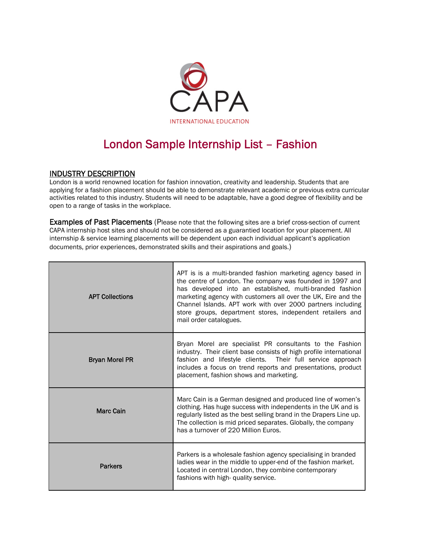

## London Sample Internship List – Fashion

## INDUSTRY DESCRIPTION

London is a world renowned location for fashion innovation, creativity and leadership. Students that are applying for a fashion placement should be able to demonstrate relevant academic or previous extra curricular activities related to this industry. Students will need to be adaptable, have a good degree of flexibility and be open to a range of tasks in the workplace.

Examples of Past Placements (Please note that the following sites are a brief cross-section of current CAPA internship host sites and should not be considered as a guarantied location for your placement. All internship & service learning placements will be dependent upon each individual applicant's application documents, prior experiences, demonstrated skills and their aspirations and goals.)

| <b>APT Collections</b> | APT is is a multi-branded fashion marketing agency based in<br>the centre of London. The company was founded in 1997 and<br>has developed into an established, multi-branded fashion<br>marketing agency with customers all over the UK, Eire and the<br>Channel Islands. APT work with over 2000 partners including<br>store groups, department stores, independent retailers and<br>mail order catalogues. |
|------------------------|--------------------------------------------------------------------------------------------------------------------------------------------------------------------------------------------------------------------------------------------------------------------------------------------------------------------------------------------------------------------------------------------------------------|
| <b>Bryan Morel PR</b>  | Bryan Morel are specialist PR consultants to the Fashion<br>industry. Their client base consists of high profile international<br>fashion and lifestyle clients. Their full service approach<br>includes a focus on trend reports and presentations, product<br>placement, fashion shows and marketing.                                                                                                      |
| <b>Marc Cain</b>       | Marc Cain is a German designed and produced line of women's<br>clothing. Has huge success with independents in the UK and is<br>regularly listed as the best selling brand in the Drapers Line up.<br>The collection is mid priced separates. Globally, the company<br>has a turnover of 220 Million Euros.                                                                                                  |
| <b>Parkers</b>         | Parkers is a wholesale fashion agency specialising in branded<br>ladies wear in the middle to upper-end of the fashion market.<br>Located in central London, they combine contemporary<br>fashions with high- quality service.                                                                                                                                                                               |